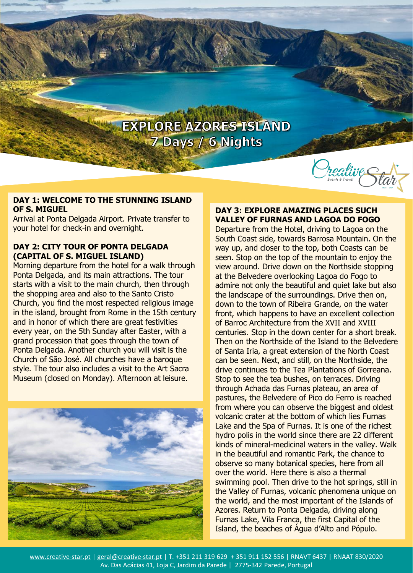

#### **DAY 1: WELCOME TO THE STUNNING ISLAND OF S. MIGUEL**

Arrival at Ponta Delgada Airport. Private transfer to your hotel for check-in and overnight.

#### **DAY 2: CITY TOUR OF PONTA DELGADA (CAPITAL OF S. MIGUEL ISLAND)**

Morning departure from the hotel for a walk through Ponta Delgada, and its main attractions. The tour starts with a visit to the main church, then through the shopping area and also to the Santo Cristo Church, you find the most respected religious image in the island, brought from Rome in the 15th century and in honor of which there are great festivities every year, on the 5th Sunday after Easter, with a grand procession that goes through the town of Ponta Delgada. Another church you will visit is the Church of São José. All churches have a baroque style. The tour also includes a visit to the Art Sacra Museum (closed on Monday). Afternoon at leisure.



## **DAY 3: EXPLORE AMAZING PLACES SUCH VALLEY OF FURNAS AND LAGOA DO FOGO**

Departure from the Hotel, driving to Lagoa on the South Coast side, towards Barrosa Mountain. On the way up, and closer to the top, both Coasts can be seen. Stop on the top of the mountain to enjoy the view around. Drive down on the Northside stopping at the Belvedere overlooking Lagoa do Fogo to admire not only the beautiful and quiet lake but also the landscape of the surroundings. Drive then on, down to the town of Ribeira Grande, on the water front, which happens to have an excellent collection of Barroc Architecture from the XVII and XVIII centuries. Stop in the down center for a short break. Then on the Northside of the Island to the Belvedere of Santa Iria, a great extension of the North Coast can be seen. Next, and still, on the Northside, the drive continues to the Tea Plantations of Gorreana. Stop to see the tea bushes, on terraces. Driving through Achada das Furnas plateau, an area of pastures, the Belvedere of Pico do Ferro is reached from where you can observe the biggest and oldest volcanic crater at the bottom of which lies Furnas Lake and the Spa of Furnas. It is one of the richest hydro polis in the world since there are 22 different kinds of mineral-medicinal waters in the valley. Walk in the beautiful and romantic Park, the chance to observe so many botanical species, here from all over the world. Here there is also a thermal swimming pool. Then drive to the hot springs, still in the Valley of Furnas, volcanic phenomena unique on the world, and the most important of the Islands of Azores. Return to Ponta Delgada, driving along Furnas Lake, Vila Franca, the first Capital of the Island, the beaches of Água d'Alto and Pópulo.

www.creative-star.pt | geral@creative-star.pt | T. +351 211 319 629 + 351 911 152 556 | RNAVT 6437 | RNAAT 830/2020 Av. Das Acácias 41, Loja C, Jardim da Parede | 2775-342 Parede, Portugal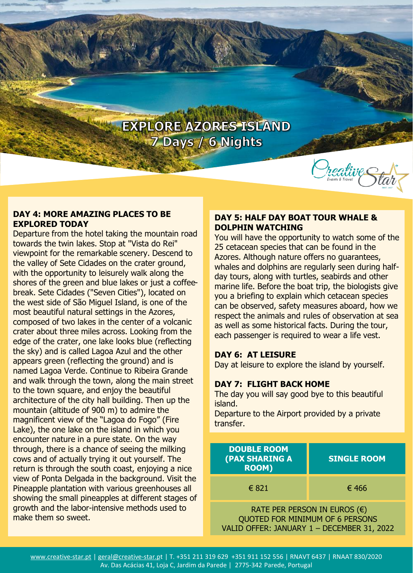

#### **DAY 4: MORE AMAZING PLACES TO BE EXPLORED TODAY**

Departure from the hotel taking the mountain road towards the twin lakes. Stop at "Vista do Rei" viewpoint for the remarkable scenery. Descend to the valley of Sete Cidades on the crater ground, with the opportunity to leisurely walk along the shores of the green and blue lakes or just a coffeebreak. Sete Cidades ("Seven Cities"), located on the west side of São Miguel Island, is one of the most beautiful natural settings in the Azores, composed of two lakes in the center of a volcanic crater about three miles across. Looking from the edge of the crater, one lake looks blue (reflecting the sky) and is called Lagoa Azul and the other appears green (reflecting the ground) and is named Lagoa Verde. Continue to Ribeira Grande and walk through the town, along the main street to the town square, and enjoy the beautiful architecture of the city hall building. Then up the mountain (altitude of 900 m) to admire the magnificent view of the "Lagoa do Fogo" (Fire Lake), the one lake on the island in which you encounter nature in a pure state. On the way through, there is a chance of seeing the milking cows and of actually trying it out yourself. The return is through the south coast, enjoying a nice view of Ponta Delgada in the background. Visit the Pineapple plantation with various greenhouses all showing the small pineapples at different stages of growth and the labor-intensive methods used to make them so sweet.

# **DAY 5: HALF DAY BOAT TOUR WHALE & DOLPHIN WATCHING**

You will have the opportunity to watch some of the 25 cetacean species that can be found in the Azores. Although nature offers no guarantees, whales and dolphins are regularly seen during halfday tours, along with turtles, seabirds and other marine life. Before the boat trip, the biologists give you a briefing to explain which cetacean species can be observed, safety measures aboard, how we respect the animals and rules of observation at sea as well as some historical facts. During the tour, each passenger is required to wear a life vest.

# **DAY 6: AT LEISURE**

Day at leisure to explore the island by yourself.

# **DAY 7: FLIGHT BACK HOME**

The day you will say good bye to this beautiful island.

Departure to the Airport provided by a private transfer.

| <b>DOUBLE ROOM</b><br><b>(PAX SHARING A</b><br><b>ROOM)</b>                                         | <b>SINGLE ROOM</b> |
|-----------------------------------------------------------------------------------------------------|--------------------|
| € 821                                                                                               | € 466              |
| RATE PER PERSON IN EUROS $(\epsilon)$<br>$\bigcap$ in the radius section is a contract of $\bigcap$ |                    |

QUOTED FOR MINIMUM OF 6 PERSONS VALID OFFER: JANUARY 1 – DECEMBER 31, 2022